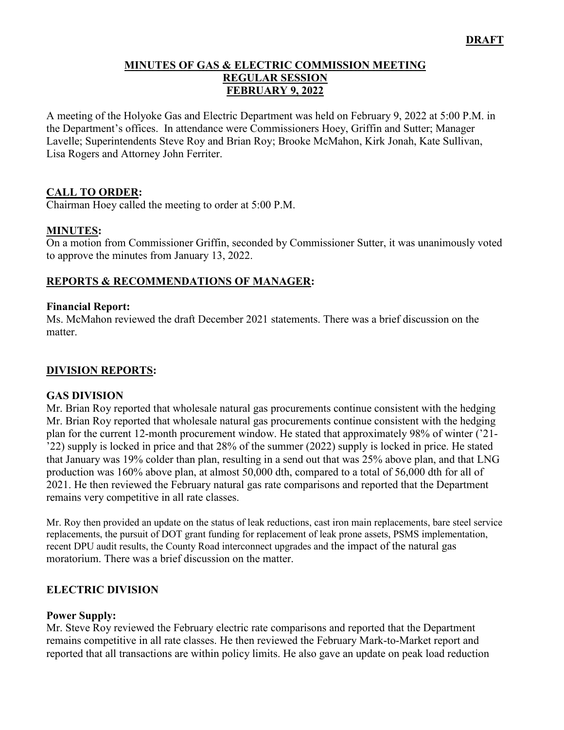#### **MINUTES OF GAS & ELECTRIC COMMISSION MEETING REGULAR SESSION FEBRUARY 9, 2022**

A meeting of the Holyoke Gas and Electric Department was held on February 9, 2022 at 5:00 P.M. in the Department's offices. In attendance were Commissioners Hoey, Griffin and Sutter; Manager Lavelle; Superintendents Steve Roy and Brian Roy; Brooke McMahon, Kirk Jonah, Kate Sullivan, Lisa Rogers and Attorney John Ferriter.

### **CALL TO ORDER:**

Chairman Hoey called the meeting to order at 5:00 P.M.

### **MINUTES:**

On a motion from Commissioner Griffin, seconded by Commissioner Sutter, it was unanimously voted to approve the minutes from January 13, 2022.

### **REPORTS & RECOMMENDATIONS OF MANAGER:**

#### **Financial Report:**

Ms. McMahon reviewed the draft December 2021 statements. There was a brief discussion on the matter.

### **DIVISION REPORTS:**

#### **GAS DIVISION**

Mr. Brian Roy reported that wholesale natural gas procurements continue consistent with the hedging Mr. Brian Roy reported that wholesale natural gas procurements continue consistent with the hedging plan for the current 12-month procurement window. He stated that approximately 98% of winter ('21- '22) supply is locked in price and that 28% of the summer (2022) supply is locked in price. He stated that January was 19% colder than plan, resulting in a send out that was 25% above plan, and that LNG production was 160% above plan, at almost 50,000 dth, compared to a total of 56,000 dth for all of 2021. He then reviewed the February natural gas rate comparisons and reported that the Department remains very competitive in all rate classes.

Mr. Roy then provided an update on the status of leak reductions, cast iron main replacements, bare steel service replacements, the pursuit of DOT grant funding for replacement of leak prone assets, PSMS implementation, recent DPU audit results, the County Road interconnect upgrades and the impact of the natural gas moratorium. There was a brief discussion on the matter.

### **ELECTRIC DIVISION**

#### **Power Supply:**

Mr. Steve Roy reviewed the February electric rate comparisons and reported that the Department remains competitive in all rate classes. He then reviewed the February Mark-to-Market report and reported that all transactions are within policy limits. He also gave an update on peak load reduction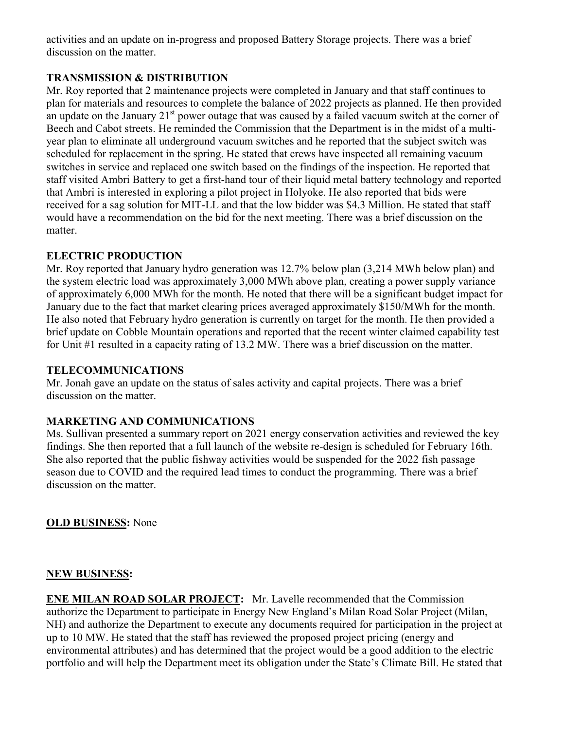activities and an update on in-progress and proposed Battery Storage projects. There was a brief discussion on the matter.

## **TRANSMISSION & DISTRIBUTION**

Mr. Roy reported that 2 maintenance projects were completed in January and that staff continues to plan for materials and resources to complete the balance of 2022 projects as planned. He then provided an update on the January  $21<sup>st</sup>$  power outage that was caused by a failed vacuum switch at the corner of Beech and Cabot streets. He reminded the Commission that the Department is in the midst of a multiyear plan to eliminate all underground vacuum switches and he reported that the subject switch was scheduled for replacement in the spring. He stated that crews have inspected all remaining vacuum switches in service and replaced one switch based on the findings of the inspection. He reported that staff visited Ambri Battery to get a first-hand tour of their liquid metal battery technology and reported that Ambri is interested in exploring a pilot project in Holyoke. He also reported that bids were received for a sag solution for MIT-LL and that the low bidder was \$4.3 Million. He stated that staff would have a recommendation on the bid for the next meeting. There was a brief discussion on the matter.

## **ELECTRIC PRODUCTION**

Mr. Roy reported that January hydro generation was 12.7% below plan (3,214 MWh below plan) and the system electric load was approximately 3,000 MWh above plan, creating a power supply variance of approximately 6,000 MWh for the month. He noted that there will be a significant budget impact for January due to the fact that market clearing prices averaged approximately \$150/MWh for the month. He also noted that February hydro generation is currently on target for the month. He then provided a brief update on Cobble Mountain operations and reported that the recent winter claimed capability test for Unit #1 resulted in a capacity rating of 13.2 MW. There was a brief discussion on the matter.

## **TELECOMMUNICATIONS**

Mr. Jonah gave an update on the status of sales activity and capital projects. There was a brief discussion on the matter.

# **MARKETING AND COMMUNICATIONS**

Ms. Sullivan presented a summary report on 2021 energy conservation activities and reviewed the key findings. She then reported that a full launch of the website re-design is scheduled for February 16th. She also reported that the public fishway activities would be suspended for the 2022 fish passage season due to COVID and the required lead times to conduct the programming. There was a brief discussion on the matter.

**OLD BUSINESS:** None

# **NEW BUSINESS:**

**ENE MILAN ROAD SOLAR PROJECT:** Mr. Lavelle recommended that the Commission authorize the Department to participate in Energy New England's Milan Road Solar Project (Milan, NH) and authorize the Department to execute any documents required for participation in the project at up to 10 MW. He stated that the staff has reviewed the proposed project pricing (energy and environmental attributes) and has determined that the project would be a good addition to the electric portfolio and will help the Department meet its obligation under the State's Climate Bill. He stated that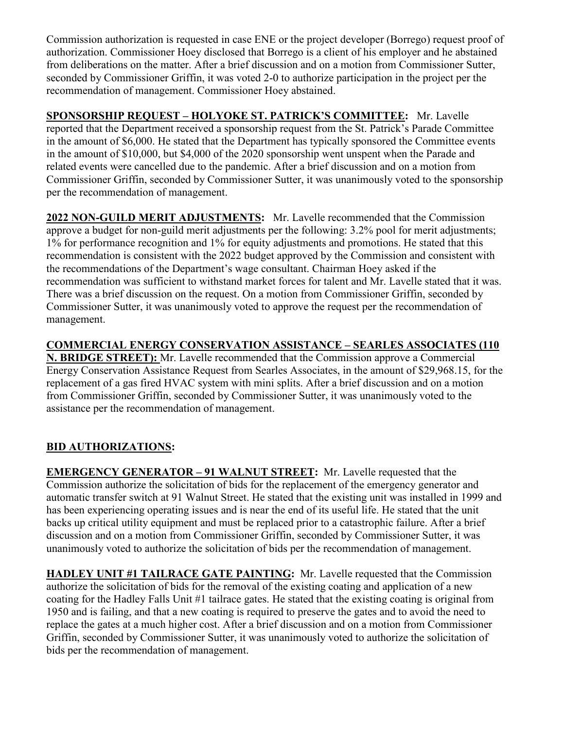Commission authorization is requested in case ENE or the project developer (Borrego) request proof of authorization. Commissioner Hoey disclosed that Borrego is a client of his employer and he abstained from deliberations on the matter. After a brief discussion and on a motion from Commissioner Sutter, seconded by Commissioner Griffin, it was voted 2-0 to authorize participation in the project per the recommendation of management. Commissioner Hoey abstained.

**SPONSORSHIP REQUEST – HOLYOKE ST. PATRICK'S COMMITTEE:** Mr. Lavelle reported that the Department received a sponsorship request from the St. Patrick's Parade Committee in the amount of \$6,000. He stated that the Department has typically sponsored the Committee events in the amount of \$10,000, but \$4,000 of the 2020 sponsorship went unspent when the Parade and related events were cancelled due to the pandemic. After a brief discussion and on a motion from Commissioner Griffin, seconded by Commissioner Sutter, it was unanimously voted to the sponsorship per the recommendation of management.

**2022 NON-GUILD MERIT ADJUSTMENTS:** Mr. Lavelle recommended that the Commission approve a budget for non-guild merit adjustments per the following: 3.2% pool for merit adjustments; 1% for performance recognition and 1% for equity adjustments and promotions. He stated that this recommendation is consistent with the 2022 budget approved by the Commission and consistent with the recommendations of the Department's wage consultant. Chairman Hoey asked if the recommendation was sufficient to withstand market forces for talent and Mr. Lavelle stated that it was. There was a brief discussion on the request. On a motion from Commissioner Griffin, seconded by Commissioner Sutter, it was unanimously voted to approve the request per the recommendation of management.

**COMMERCIAL ENERGY CONSERVATION ASSISTANCE – SEARLES ASSOCIATES (110 N. BRIDGE STREET):** Mr. Lavelle recommended that the Commission approve a Commercial Energy Conservation Assistance Request from Searles Associates, in the amount of \$29,968.15, for the replacement of a gas fired HVAC system with mini splits. After a brief discussion and on a motion from Commissioner Griffin, seconded by Commissioner Sutter, it was unanimously voted to the assistance per the recommendation of management.

# **BID AUTHORIZATIONS:**

**EMERGENCY GENERATOR – 91 WALNUT STREET:** Mr. Lavelle requested that the Commission authorize the solicitation of bids for the replacement of the emergency generator and automatic transfer switch at 91 Walnut Street. He stated that the existing unit was installed in 1999 and has been experiencing operating issues and is near the end of its useful life. He stated that the unit backs up critical utility equipment and must be replaced prior to a catastrophic failure. After a brief discussion and on a motion from Commissioner Griffin, seconded by Commissioner Sutter, it was unanimously voted to authorize the solicitation of bids per the recommendation of management.

**HADLEY UNIT #1 TAILRACE GATE PAINTING:** Mr. Lavelle requested that the Commission authorize the solicitation of bids for the removal of the existing coating and application of a new coating for the Hadley Falls Unit #1 tailrace gates. He stated that the existing coating is original from 1950 and is failing, and that a new coating is required to preserve the gates and to avoid the need to replace the gates at a much higher cost. After a brief discussion and on a motion from Commissioner Griffin, seconded by Commissioner Sutter, it was unanimously voted to authorize the solicitation of bids per the recommendation of management.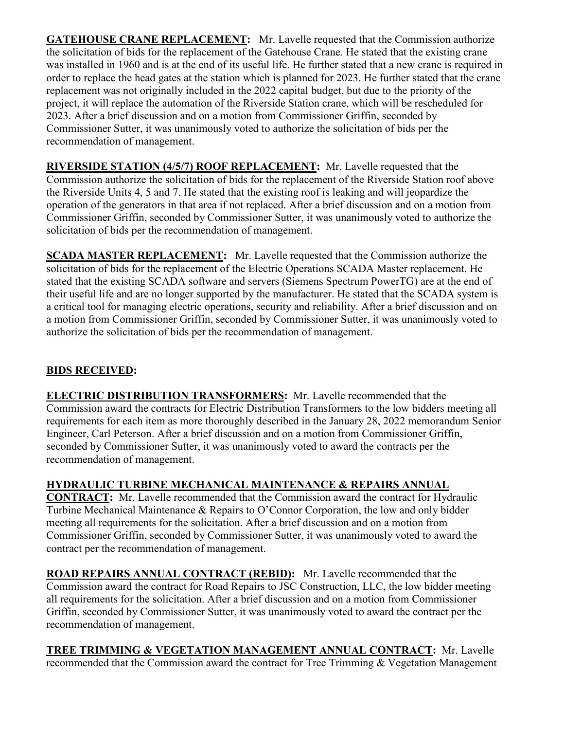**GATEHOUSE CRANE REPLACEMENT:** Mr. Lavelle requested that the Commission authorize the solicitation of bids for the replacement of the Gatehouse Crane. He stated that the existing crane was installed in 1960 and is at the end of its useful life. He further stated that a new crane is required in order to replace the head gates at the station which is planned for 2023. He further stated that the crane replacement was not originally included in the 2022 capital budget, but due to the priority of the project, it will replace the automation of the Riverside Station crane, which will be rescheduled for 2023. After a brief discussion and on a motion from Commissioner Griffin, seconded by Commissioner Sutter, it was unanimously voted to authorize the solicitation of bids per the recommendation of management.

**RIVERSIDE STATION (4/5/7) ROOF REPLACEMENT:** Mr. Lavelle requested that the Commission authorize the solicitation of bids for the replacement of the Riverside Station roof above the Riverside Units 4, 5 and 7. He stated that the existing roof is leaking and will jeopardize the operation of the generators in that area if not replaced. After a brief discussion and on a motion from Commissioner Griffin, seconded by Commissioner Sutter, it was unanimously voted to authorize the solicitation of bids per the recommendation of management.

**SCADA MASTER REPLACEMENT:** Mr. Lavelle requested that the Commission authorize the solicitation of bids for the replacement of the Electric Operations SCADA Master replacement. He stated that the existing SCADA software and servers (Siemens Spectrum PowerTG) are at the end of their useful life and are no longer supported by the manufacturer. He stated that the SCADA system is a critical tool for managing electric operations, security and reliability. After a brief discussion and on a motion from Commissioner Griffin, seconded by Commissioner Sutter, it was unanimously voted to authorize the solicitation of bids per the recommendation of management.

# **BIDS RECEIVED:**

**ELECTRIC DISTRIBUTION TRANSFORMERS:** Mr. Lavelle recommended that the Commission award the contracts for Electric Distribution Transformers to the low bidders meeting all requirements for each item as more thoroughly described in the January 28, 2022 memorandum Senior Engineer, Carl Peterson. After a brief discussion and on a motion from Commissioner Griffin, seconded by Commissioner Sutter, it was unanimously voted to award the contracts per the recommendation of management.

**HYDRAULIC TURBINE MECHANICAL MAINTENANCE & REPAIRS ANNUAL CONTRACT:** Mr. Lavelle recommended that the Commission award the contract for Hydraulic Turbine Mechanical Maintenance & Repairs to O'Connor Corporation, the low and only bidder meeting all requirements for the solicitation. After a brief discussion and on a motion from Commissioner Griffin, seconded by Commissioner Sutter, it was unanimously voted to award the contract per the recommendation of management.

**ROAD REPAIRS ANNUAL CONTRACT (REBID):** Mr. Lavelle recommended that the Commission award the contract for Road Repairs to JSC Construction, LLC, the low bidder meeting all requirements for the solicitation. After a brief discussion and on a motion from Commissioner Griffin, seconded by Commissioner Sutter, it was unanimously voted to award the contract per the recommendation of management.

**TREE TRIMMING & VEGETATION MANAGEMENT ANNUAL CONTRACT:** Mr. Lavelle recommended that the Commission award the contract for Tree Trimming & Vegetation Management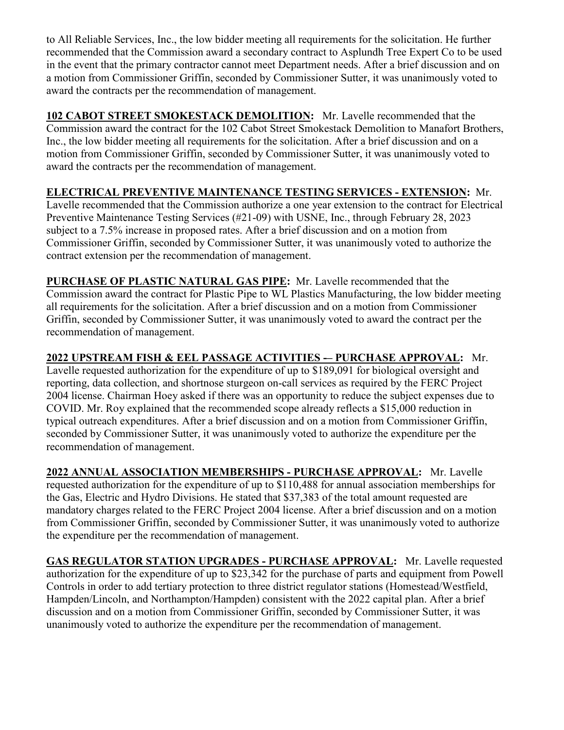to All Reliable Services, Inc., the low bidder meeting all requirements for the solicitation. He further recommended that the Commission award a secondary contract to Asplundh Tree Expert Co to be used in the event that the primary contractor cannot meet Department needs. After a brief discussion and on a motion from Commissioner Griffin, seconded by Commissioner Sutter, it was unanimously voted to award the contracts per the recommendation of management.

**102 CABOT STREET SMOKESTACK DEMOLITION:** Mr. Lavelle recommended that the Commission award the contract for the 102 Cabot Street Smokestack Demolition to Manafort Brothers, Inc., the low bidder meeting all requirements for the solicitation. After a brief discussion and on a motion from Commissioner Griffin, seconded by Commissioner Sutter, it was unanimously voted to award the contracts per the recommendation of management.

# **ELECTRICAL PREVENTIVE MAINTENANCE TESTING SERVICES - EXTENSION:** Mr.

Lavelle recommended that the Commission authorize a one year extension to the contract for Electrical Preventive Maintenance Testing Services (#21-09) with USNE, Inc., through February 28, 2023 subject to a 7.5% increase in proposed rates. After a brief discussion and on a motion from Commissioner Griffin, seconded by Commissioner Sutter, it was unanimously voted to authorize the contract extension per the recommendation of management.

**PURCHASE OF PLASTIC NATURAL GAS PIPE:** Mr. Lavelle recommended that the Commission award the contract for Plastic Pipe to WL Plastics Manufacturing, the low bidder meeting all requirements for the solicitation. After a brief discussion and on a motion from Commissioner Griffin, seconded by Commissioner Sutter, it was unanimously voted to award the contract per the recommendation of management.

**2022 UPSTREAM FISH & EEL PASSAGE ACTIVITIES -– PURCHASE APPROVAL:** Mr. Lavelle requested authorization for the expenditure of up to \$189,091 for biological oversight and reporting, data collection, and shortnose sturgeon on-call services as required by the FERC Project 2004 license. Chairman Hoey asked if there was an opportunity to reduce the subject expenses due to COVID. Mr. Roy explained that the recommended scope already reflects a \$15,000 reduction in typical outreach expenditures. After a brief discussion and on a motion from Commissioner Griffin, seconded by Commissioner Sutter, it was unanimously voted to authorize the expenditure per the recommendation of management.

**2022 ANNUAL ASSOCIATION MEMBERSHIPS - PURCHASE APPROVAL:** Mr. Lavelle requested authorization for the expenditure of up to \$110,488 for annual association memberships for the Gas, Electric and Hydro Divisions. He stated that \$37,383 of the total amount requested are mandatory charges related to the FERC Project 2004 license. After a brief discussion and on a motion from Commissioner Griffin, seconded by Commissioner Sutter, it was unanimously voted to authorize the expenditure per the recommendation of management.

**GAS REGULATOR STATION UPGRADES - PURCHASE APPROVAL:** Mr. Lavelle requested authorization for the expenditure of up to \$23,342 for the purchase of parts and equipment from Powell Controls in order to add tertiary protection to three district regulator stations (Homestead/Westfield, Hampden/Lincoln, and Northampton/Hampden) consistent with the 2022 capital plan. After a brief discussion and on a motion from Commissioner Griffin, seconded by Commissioner Sutter, it was unanimously voted to authorize the expenditure per the recommendation of management.